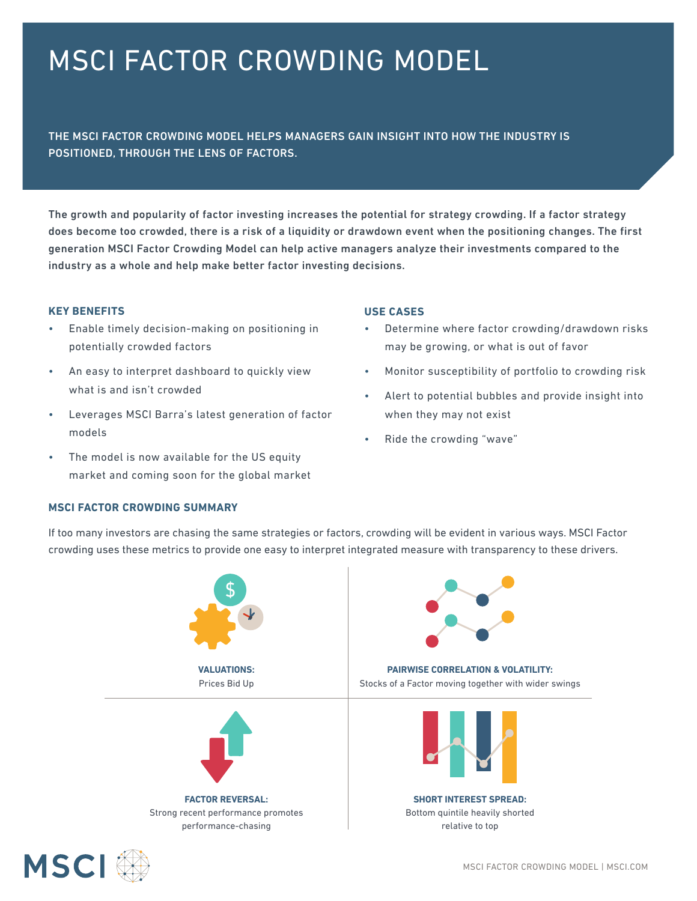# MSCI FACTOR CROWDING MODEL

THE MSCI FACTOR CROWDING MODEL HELPS MANAGERS GAIN INSIGHT INTO HOW THE INDUSTRY IS POSITIONED, THROUGH THE LENS OF FACTORS.

The growth and popularity of factor investing increases the potential for strategy crowding. If a factor strategy does become too crowded, there is a risk of a liquidity or drawdown event when the positioning changes. The first generation MSCI Factor Crowding Model can help active managers analyze their investments compared to the industry as a whole and help make better factor investing decisions.

#### **KEY BENEFITS**

- Enable timely decision-making on positioning in potentially crowded factors
- An easy to interpret dashboard to quickly view what is and isn't crowded
- Leverages MSCI Barra's latest generation of factor models
- The model is now available for the US equity market and coming soon for the global market

## **MSCI FACTOR CROWDING SUMMARY**

## **USE CASES**

- Determine where factor crowding/drawdown risks may be growing, or what is out of favor
- Monitor susceptibility of portfolio to crowding risk
- Alert to potential bubbles and provide insight into when they may not exist
- Ride the crowding "wave"

If too many investors are chasing the same strategies or factors, crowding will be evident in various ways. MSCI Factor crowding uses these metrics to provide one easy to interpret integrated measure with transparency to these drivers.



Strong recent performance promotes performance-chasing



**PAIRWISE CORRELATION & VOLATILITY:** Stocks of a Factor moving together with wider swings



**SHORT INTEREST SPREAD:** Bottom quintile heavily shorted relative to top